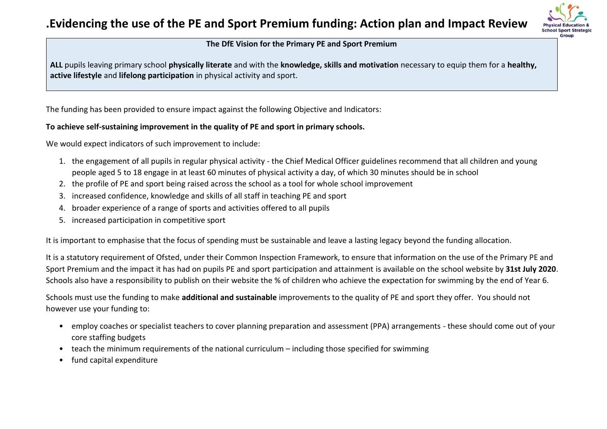## **.Evidencing the use of the PE and Sport Premium funding: Action plan and Impact Review**



#### **The DfE Vision for the Primary PE and Sport Premium**

**ALL** pupils leaving primary school **physically literate** and with the **knowledge, skills and motivation** necessary to equip them for a **healthy, active lifestyle** and **lifelong participation** in physical activity and sport.

The funding has been provided to ensure impact against the following Objective and Indicators:

#### **To achieve self-sustaining improvement in the quality of PE and sport in primary schools.**

We would expect indicators of such improvement to include:

- 1. the engagement of all pupils in regular physical activity the Chief Medical Officer guidelines recommend that all children and young people aged 5 to 18 engage in at least 60 minutes of physical activity a day, of which 30 minutes should be in school
- 2. the profile of PE and sport being raised across the school as a tool for whole school improvement
- 3. increased confidence, knowledge and skills of all staff in teaching PE and sport
- 4. broader experience of a range of sports and activities offered to all pupils
- 5. increased participation in competitive sport

It is important to emphasise that the focus of spending must be sustainable and leave a lasting legacy beyond the funding allocation.

It is a statutory requirement of Ofsted, under their Common Inspection Framework, to ensure that information on the use of the Primary PE and Sport Premium and the impact it has had on pupils PE and sport participation and attainment is available on the school website by **31st July 2020**. Schools also have a responsibility to publish on their website the % of children who achieve the expectation for swimming by the end of Year 6.

Schools must use the funding to make **additional and sustainable** improvements to the quality of PE and sport they offer. You should not however use your funding to:

- employ coaches or specialist teachers to cover planning preparation and assessment (PPA) arrangements these should come out of your core staffing budgets
- teach the minimum requirements of the national curriculum including those specified for swimming
- fund capital expenditure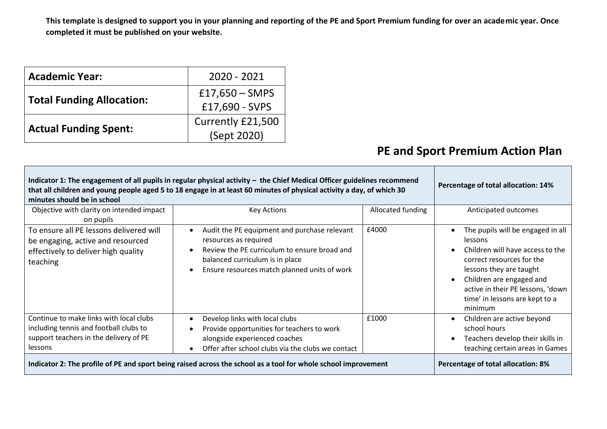**This template is designed to support you in your planning and reporting of the PE and Sport Premium funding for over an academic year. Once completed it must be published on your website.**

| <b>Academic Year:</b>            | 2020 - 2021                        |
|----------------------------------|------------------------------------|
| <b>Total Funding Allocation:</b> | $£17,650 - SMPS$<br>£17,690 - SVPS |
| <b>Actual Funding Spent:</b>     | Currently £21,500<br>(Sept 2020)   |

### **PE and Sport Premium Action Plan**

| Indicator 1: The engagement of all pupils in regular physical activity - the Chief Medical Officer guidelines recommend<br>Percentage of total allocation: 14%<br>that all children and young people aged 5 to 18 engage in at least 60 minutes of physical activity a day, of which 30<br>minutes should be in school |                                                                                                                                                                                                                       |                   |                                                                                                                                                                                                                                                        |  |  |  |
|------------------------------------------------------------------------------------------------------------------------------------------------------------------------------------------------------------------------------------------------------------------------------------------------------------------------|-----------------------------------------------------------------------------------------------------------------------------------------------------------------------------------------------------------------------|-------------------|--------------------------------------------------------------------------------------------------------------------------------------------------------------------------------------------------------------------------------------------------------|--|--|--|
| Objective with clarity on intended impact<br>on pupils                                                                                                                                                                                                                                                                 | <b>Key Actions</b>                                                                                                                                                                                                    | Allocated funding | Anticipated outcomes                                                                                                                                                                                                                                   |  |  |  |
| To ensure all PE lessons delivered will<br>be engaging, active and resourced<br>effectively to deliver high quality<br>teaching                                                                                                                                                                                        | Audit the PE equipment and purchase relevant<br>resources as required<br>Review the PE curriculum to ensure broad and<br>balanced curriculum is in place<br>Ensure resources match planned units of work<br>$\bullet$ | £4000             | The pupils will be engaged in all<br>lessons<br>Children will have access to the<br>correct resources for the<br>lessons they are taught<br>Children are engaged and<br>active in their PE lessons, 'down<br>time' in lessons are kept to a<br>minimum |  |  |  |
| Continue to make links with local clubs<br>including tennis and football clubs to<br>support teachers in the delivery of PE<br>lessons                                                                                                                                                                                 | Develop links with local clubs<br>$\bullet$<br>Provide opportunities for teachers to work<br>alongside experienced coaches<br>Offer after school clubs via the clubs we contact<br>$\bullet$                          | £1000             | Children are active beyond<br>school hours<br>Teachers develop their skills in<br>teaching certain areas in Games                                                                                                                                      |  |  |  |
| Indicator 2: The profile of PE and sport being raised across the school as a tool for whole school improvement                                                                                                                                                                                                         | Percentage of total allocation: 8%                                                                                                                                                                                    |                   |                                                                                                                                                                                                                                                        |  |  |  |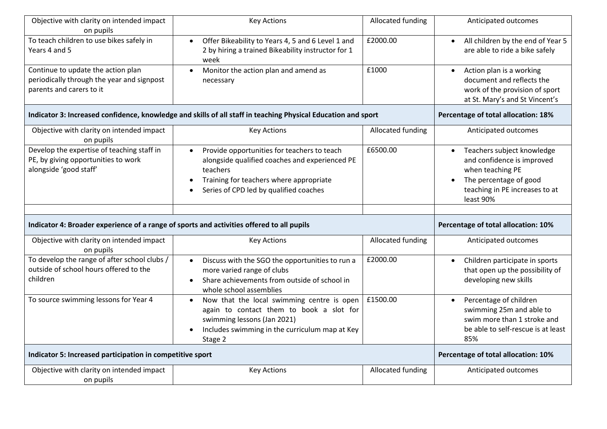| Objective with clarity on intended impact<br>on pupils                                                       | <b>Key Actions</b>                                                                                                                                                                                           | Allocated funding                   | Anticipated outcomes                                                                                                                                                            |
|--------------------------------------------------------------------------------------------------------------|--------------------------------------------------------------------------------------------------------------------------------------------------------------------------------------------------------------|-------------------------------------|---------------------------------------------------------------------------------------------------------------------------------------------------------------------------------|
| To teach children to use bikes safely in<br>Years 4 and 5                                                    | Offer Bikeability to Years 4, 5 and 6 Level 1 and<br>2 by hiring a trained Bikeability instructor for 1<br>week                                                                                              | £2000.00                            | All children by the end of Year 5<br>$\bullet$<br>are able to ride a bike safely                                                                                                |
| Continue to update the action plan<br>periodically through the year and signpost<br>parents and carers to it | Monitor the action plan and amend as<br>necessary                                                                                                                                                            | £1000                               | Action plan is a working<br>$\bullet$<br>document and reflects the<br>work of the provision of sport<br>at St. Mary's and St Vincent's                                          |
|                                                                                                              | Indicator 3: Increased confidence, knowledge and skills of all staff in teaching Physical Education and sport                                                                                                |                                     | Percentage of total allocation: 18%                                                                                                                                             |
| Objective with clarity on intended impact<br>on pupils                                                       | <b>Key Actions</b>                                                                                                                                                                                           | Allocated funding                   | Anticipated outcomes                                                                                                                                                            |
| Develop the expertise of teaching staff in<br>PE, by giving opportunities to work<br>alongside 'good staff'  | Provide opportunities for teachers to teach<br>alongside qualified coaches and experienced PE<br>teachers<br>Training for teachers where appropriate<br>Series of CPD led by qualified coaches               | £6500.00                            | Teachers subject knowledge<br>$\bullet$<br>and confidence is improved<br>when teaching PE<br>The percentage of good<br>$\bullet$<br>teaching in PE increases to at<br>least 90% |
| Indicator 4: Broader experience of a range of sports and activities offered to all pupils                    |                                                                                                                                                                                                              |                                     | Percentage of total allocation: 10%                                                                                                                                             |
|                                                                                                              |                                                                                                                                                                                                              |                                     |                                                                                                                                                                                 |
| Objective with clarity on intended impact<br>on pupils                                                       | <b>Key Actions</b>                                                                                                                                                                                           | Allocated funding                   | Anticipated outcomes                                                                                                                                                            |
| To develop the range of after school clubs /<br>outside of school hours offered to the<br>children           | Discuss with the SGO the opportunities to run a<br>$\bullet$<br>more varied range of clubs<br>Share achievements from outside of school in<br>whole school assemblies                                        | £2000.00                            | Children participate in sports<br>$\bullet$<br>that open up the possibility of<br>developing new skills                                                                         |
| To source swimming lessons for Year 4                                                                        | Now that the local swimming centre is open<br>$\bullet$<br>again to contact them to book a slot for<br>swimming lessons (Jan 2021)<br>Includes swimming in the curriculum map at Key<br>$\bullet$<br>Stage 2 | £1500.00                            | Percentage of children<br>$\bullet$<br>swimming 25m and able to<br>swim more than 1 stroke and<br>be able to self-rescue is at least<br>85%                                     |
| Indicator 5: Increased participation in competitive sport                                                    |                                                                                                                                                                                                              | Percentage of total allocation: 10% |                                                                                                                                                                                 |
| Objective with clarity on intended impact                                                                    |                                                                                                                                                                                                              | Allocated funding                   | Anticipated outcomes                                                                                                                                                            |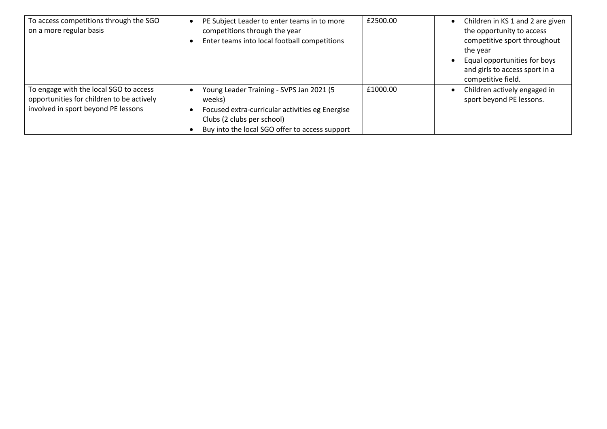| To access competitions through the SGO<br>on a more regular basis                                                          | PE Subject Leader to enter teams in to more<br>competitions through the year<br>Enter teams into local football competitions                                                          | £2500.00 | Children in KS 1 and 2 are given<br>$\bullet$<br>the opportunity to access<br>competitive sport throughout<br>the year<br>Equal opportunities for boys<br>$\bullet$<br>and girls to access sport in a<br>competitive field. |
|----------------------------------------------------------------------------------------------------------------------------|---------------------------------------------------------------------------------------------------------------------------------------------------------------------------------------|----------|-----------------------------------------------------------------------------------------------------------------------------------------------------------------------------------------------------------------------------|
| To engage with the local SGO to access<br>opportunities for children to be actively<br>involved in sport beyond PE lessons | Young Leader Training - SVPS Jan 2021 (5<br>weeks)<br>Focused extra-curricular activities eg Energise<br>Clubs (2 clubs per school)<br>Buy into the local SGO offer to access support | £1000.00 | Children actively engaged in<br>$\bullet$<br>sport beyond PE lessons.                                                                                                                                                       |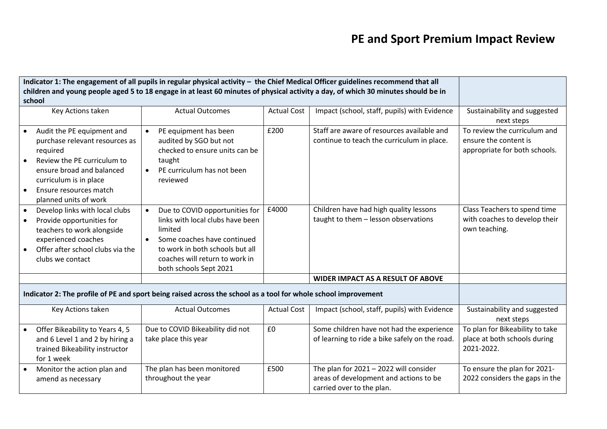# **PE and Sport Premium Impact Review**

|                                                                                                                |                                                                                                                                                                                                                   |                                                                                                                                                                                                                                       |                    | Indicator 1: The engagement of all pupils in regular physical activity - the Chief Medical Officer guidelines recommend that all  |                                                                                        |
|----------------------------------------------------------------------------------------------------------------|-------------------------------------------------------------------------------------------------------------------------------------------------------------------------------------------------------------------|---------------------------------------------------------------------------------------------------------------------------------------------------------------------------------------------------------------------------------------|--------------------|-----------------------------------------------------------------------------------------------------------------------------------|----------------------------------------------------------------------------------------|
|                                                                                                                | school                                                                                                                                                                                                            |                                                                                                                                                                                                                                       |                    | children and young people aged 5 to 18 engage in at least 60 minutes of physical activity a day, of which 30 minutes should be in |                                                                                        |
|                                                                                                                | Key Actions taken                                                                                                                                                                                                 | <b>Actual Outcomes</b>                                                                                                                                                                                                                | <b>Actual Cost</b> | Impact (school, staff, pupils) with Evidence                                                                                      | Sustainability and suggested<br>next steps                                             |
| $\bullet$                                                                                                      | Audit the PE equipment and<br>purchase relevant resources as<br>required<br>Review the PE curriculum to<br>ensure broad and balanced<br>curriculum is in place<br>Ensure resources match<br>planned units of work | PE equipment has been<br>audited by SGO but not<br>checked to ensure units can be<br>taught<br>PE curriculum has not been<br>reviewed                                                                                                 | £200               | Staff are aware of resources available and<br>continue to teach the curriculum in place.                                          | To review the curriculum and<br>ensure the content is<br>appropriate for both schools. |
| $\bullet$<br>$\bullet$                                                                                         | Develop links with local clubs<br>Provide opportunities for<br>teachers to work alongside<br>experienced coaches<br>Offer after school clubs via the<br>clubs we contact                                          | Due to COVID opportunities for<br>$\bullet$<br>links with local clubs have been<br>limited<br>Some coaches have continued<br>$\bullet$<br>to work in both schools but all<br>coaches will return to work in<br>both schools Sept 2021 | £4000              | Children have had high quality lessons<br>taught to them - lesson observations                                                    | Class Teachers to spend time<br>with coaches to develop their<br>own teaching.         |
|                                                                                                                |                                                                                                                                                                                                                   |                                                                                                                                                                                                                                       |                    | <b>WIDER IMPACT AS A RESULT OF ABOVE</b>                                                                                          |                                                                                        |
| Indicator 2: The profile of PE and sport being raised across the school as a tool for whole school improvement |                                                                                                                                                                                                                   |                                                                                                                                                                                                                                       |                    |                                                                                                                                   |                                                                                        |
|                                                                                                                | Key Actions taken                                                                                                                                                                                                 | <b>Actual Outcomes</b>                                                                                                                                                                                                                | <b>Actual Cost</b> | Impact (school, staff, pupils) with Evidence                                                                                      | Sustainability and suggested<br>next steps                                             |
|                                                                                                                | Offer Bikeability to Years 4, 5<br>and 6 Level 1 and 2 by hiring a<br>trained Bikeability instructor<br>for 1 week                                                                                                | Due to COVID Bikeability did not<br>take place this year                                                                                                                                                                              | £0                 | Some children have not had the experience<br>of learning to ride a bike safely on the road.                                       | To plan for Bikeability to take<br>place at both schools during<br>2021-2022.          |
|                                                                                                                | Monitor the action plan and<br>amend as necessary                                                                                                                                                                 | The plan has been monitored<br>throughout the year                                                                                                                                                                                    | £500               | The plan for $2021 - 2022$ will consider<br>areas of development and actions to be<br>carried over to the plan.                   | To ensure the plan for 2021-<br>2022 considers the gaps in the                         |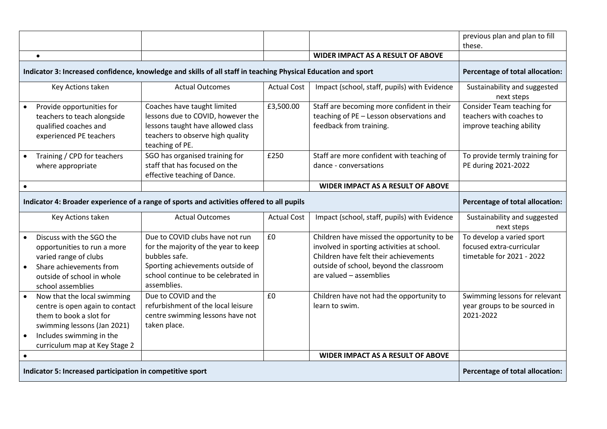|                                                                                           |                                                                                                                                                                                       |                                                                                                                                                                                    |                    |                                                                                                                                                                                                         | previous plan and plan to fill<br>these.                                           |
|-------------------------------------------------------------------------------------------|---------------------------------------------------------------------------------------------------------------------------------------------------------------------------------------|------------------------------------------------------------------------------------------------------------------------------------------------------------------------------------|--------------------|---------------------------------------------------------------------------------------------------------------------------------------------------------------------------------------------------------|------------------------------------------------------------------------------------|
|                                                                                           | $\bullet$                                                                                                                                                                             |                                                                                                                                                                                    |                    | <b>WIDER IMPACT AS A RESULT OF ABOVE</b>                                                                                                                                                                |                                                                                    |
|                                                                                           |                                                                                                                                                                                       | Indicator 3: Increased confidence, knowledge and skills of all staff in teaching Physical Education and sport                                                                      |                    |                                                                                                                                                                                                         | Percentage of total allocation:                                                    |
|                                                                                           | Key Actions taken                                                                                                                                                                     | <b>Actual Outcomes</b>                                                                                                                                                             | <b>Actual Cost</b> | Impact (school, staff, pupils) with Evidence                                                                                                                                                            | Sustainability and suggested<br>next steps                                         |
|                                                                                           | Provide opportunities for<br>teachers to teach alongside<br>qualified coaches and<br>experienced PE teachers                                                                          | Coaches have taught limited<br>lessons due to COVID, however the<br>lessons taught have allowed class<br>teachers to observe high quality<br>teaching of PE.                       | £3,500.00          | Staff are becoming more confident in their<br>teaching of PE - Lesson observations and<br>feedback from training.                                                                                       | Consider Team teaching for<br>teachers with coaches to<br>improve teaching ability |
|                                                                                           | Training / CPD for teachers<br>where appropriate                                                                                                                                      | SGO has organised training for<br>staff that has focused on the<br>effective teaching of Dance.                                                                                    | £250               | Staff are more confident with teaching of<br>dance - conversations                                                                                                                                      | To provide termly training for<br>PE during 2021-2022                              |
| $\bullet$                                                                                 |                                                                                                                                                                                       |                                                                                                                                                                                    |                    | <b>WIDER IMPACT AS A RESULT OF ABOVE</b>                                                                                                                                                                |                                                                                    |
| Indicator 4: Broader experience of a range of sports and activities offered to all pupils |                                                                                                                                                                                       |                                                                                                                                                                                    |                    |                                                                                                                                                                                                         | Percentage of total allocation:                                                    |
|                                                                                           | Key Actions taken                                                                                                                                                                     | <b>Actual Outcomes</b>                                                                                                                                                             | <b>Actual Cost</b> | Impact (school, staff, pupils) with Evidence                                                                                                                                                            | Sustainability and suggested<br>next steps                                         |
|                                                                                           | Discuss with the SGO the<br>opportunities to run a more<br>varied range of clubs<br>Share achievements from<br>outside of school in whole<br>school assemblies                        | Due to COVID clubs have not run<br>for the majority of the year to keep<br>bubbles safe.<br>Sporting achievements outside of<br>school continue to be celebrated in<br>assemblies. | £0                 | Children have missed the opportunity to be<br>involved in sporting activities at school.<br>Children have felt their achievements<br>outside of school, beyond the classroom<br>are valued - assemblies | To develop a varied sport<br>focused extra-curricular<br>timetable for 2021 - 2022 |
|                                                                                           | Now that the local swimming<br>centre is open again to contact<br>them to book a slot for<br>swimming lessons (Jan 2021)<br>Includes swimming in the<br>curriculum map at Key Stage 2 | Due to COVID and the<br>refurbishment of the local leisure<br>centre swimming lessons have not<br>taken place.                                                                     | £0                 | Children have not had the opportunity to<br>learn to swim.                                                                                                                                              | Swimming lessons for relevant<br>year groups to be sourced in<br>2021-2022         |
| $\bullet$                                                                                 |                                                                                                                                                                                       |                                                                                                                                                                                    |                    | <b>WIDER IMPACT AS A RESULT OF ABOVE</b>                                                                                                                                                                |                                                                                    |
| Indicator 5: Increased participation in competitive sport                                 |                                                                                                                                                                                       |                                                                                                                                                                                    |                    | Percentage of total allocation:                                                                                                                                                                         |                                                                                    |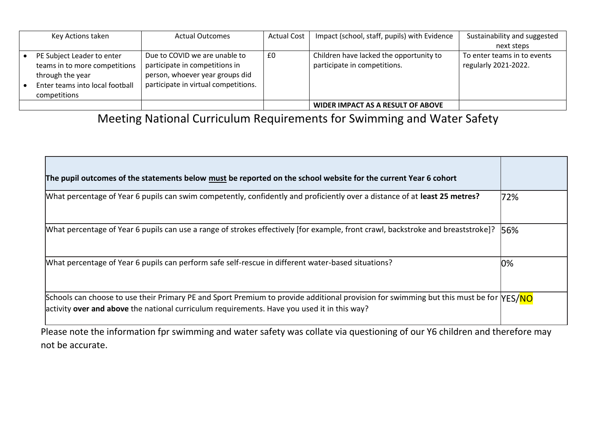| Key Actions taken                                                                    | <b>Actual Outcomes</b>                                                                                    | <b>Actual Cost</b> | Impact (school, staff, pupils) with Evidence | Sustainability and suggested |
|--------------------------------------------------------------------------------------|-----------------------------------------------------------------------------------------------------------|--------------------|----------------------------------------------|------------------------------|
|                                                                                      |                                                                                                           |                    |                                              | next steps                   |
| PE Subject Leader to enter                                                           | Due to COVID we are unable to                                                                             | £0                 | Children have lacked the opportunity to      | To enter teams in to events  |
| teams in to more competitions<br>through the year<br>Enter teams into local football | participate in competitions in<br>person, whoever year groups did<br>participate in virtual competitions. |                    | participate in competitions.                 | regularly 2021-2022.         |
| competitions                                                                         |                                                                                                           |                    |                                              |                              |
|                                                                                      |                                                                                                           |                    | WIDER IMPACT AS A RESULT OF ABOVE            |                              |

Meeting National Curriculum Requirements for Swimming and Water Safety

| What percentage of Year 6 pupils can swim competently, confidently and proficiently over a distance of at least 25 metres?                                                                                                           | 72% |
|--------------------------------------------------------------------------------------------------------------------------------------------------------------------------------------------------------------------------------------|-----|
| [What percentage of Year 6 pupils can use a range of strokes effectively [for example, front crawl, backstroke and breaststroke]?                                                                                                    | 56% |
| What percentage of Year 6 pupils can perform safe self-rescue in different water-based situations?                                                                                                                                   | 0%  |
| Schools can choose to use their Primary PE and Sport Premium to provide additional provision for swimming but this must be for MES/NO<br>activity over and above the national curriculum requirements. Have you used it in this way? |     |

Please note the information fpr swimming and water safety was collate via questioning of our Y6 children and therefore may not be accurate.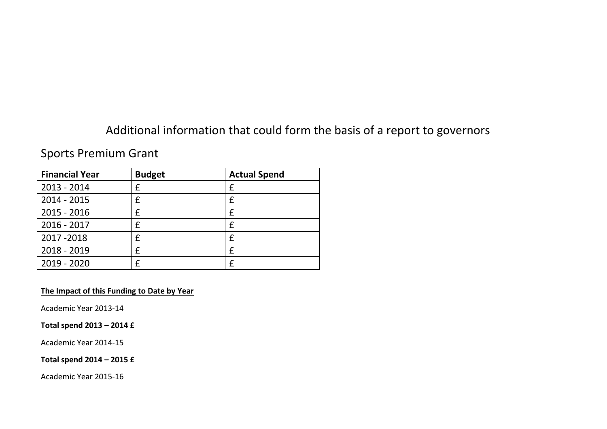## Additional information that could form the basis of a report to governors

### Sports Premium Grant

| <b>Financial Year</b> | <b>Budget</b> | <b>Actual Spend</b> |
|-----------------------|---------------|---------------------|
| 2013 - 2014           |               | £                   |
| $2014 - 2015$         |               | f                   |
| $2015 - 2016$         |               | £                   |
| 2016 - 2017           |               | £                   |
| 2017-2018             |               | f                   |
| 2018 - 2019           |               | f                   |
| $2019 - 2020$         |               | f                   |

#### **The Impact of this Funding to Date by Year**

Academic Year 2013-14

#### **Total spend 2013 – 2014 £**

Academic Year 2014-15

#### **Total spend 2014 – 2015 £**

Academic Year 2015-16